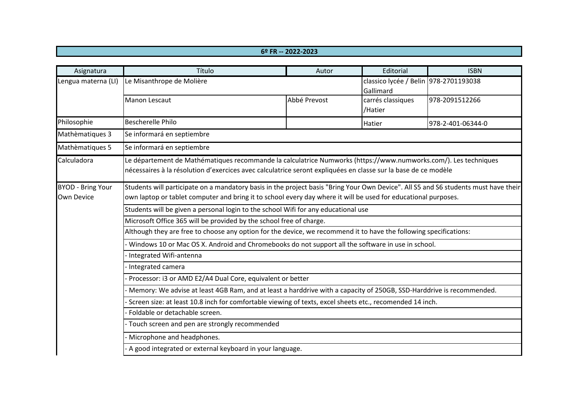## **6º FR -- 2022-2023**

| Asignatura                             | Título                                                                                                                                                                                                                                                | Autor        | Editorial                                          | <b>ISBN</b>       |  |  |  |
|----------------------------------------|-------------------------------------------------------------------------------------------------------------------------------------------------------------------------------------------------------------------------------------------------------|--------------|----------------------------------------------------|-------------------|--|--|--|
| Lengua materna (LI)                    | Le Misanthrope de Molière                                                                                                                                                                                                                             |              | classico lycée / Belin 978-2701193038<br>Gallimard |                   |  |  |  |
|                                        | Manon Lescaut                                                                                                                                                                                                                                         | Abbé Prevost | carrés classiques<br>/Hatier                       | 978-2091512266    |  |  |  |
| Philosophie                            | <b>Bescherelle Philo</b>                                                                                                                                                                                                                              |              | Hatier                                             | 978-2-401-06344-0 |  |  |  |
| Mathèmatiques 3                        | Se informará en septiembre                                                                                                                                                                                                                            |              |                                                    |                   |  |  |  |
| Mathèmatiques 5                        | Se informará en septiembre                                                                                                                                                                                                                            |              |                                                    |                   |  |  |  |
| Calculadora                            | Le département de Mathématiques recommande la calculatrice Numworks (https://www.numworks.com/). Les techniques<br>nécessaires à la résolution d'exercices avec calculatrice seront expliquées en classe sur la base de ce modèle                     |              |                                                    |                   |  |  |  |
| <b>BYOD - Bring Your</b><br>Own Device | Students will participate on a mandatory basis in the project basis "Bring Your Own Device". All S5 and S6 students must have their<br>own laptop or tablet computer and bring it to school every day where it will be used for educational purposes. |              |                                                    |                   |  |  |  |
|                                        | Students will be given a personal login to the school Wifi for any educational use                                                                                                                                                                    |              |                                                    |                   |  |  |  |
|                                        | Microsoft Office 365 will be provided by the school free of charge.                                                                                                                                                                                   |              |                                                    |                   |  |  |  |
|                                        | Although they are free to choose any option for the device, we recommend it to have the following specifications:                                                                                                                                     |              |                                                    |                   |  |  |  |
|                                        | Windows 10 or Mac OS X. Android and Chromebooks do not support all the software in use in school.                                                                                                                                                     |              |                                                    |                   |  |  |  |
|                                        | Integrated Wifi-antenna                                                                                                                                                                                                                               |              |                                                    |                   |  |  |  |
|                                        | Integrated camera                                                                                                                                                                                                                                     |              |                                                    |                   |  |  |  |
|                                        | Processor: i3 or AMD E2/A4 Dual Core, equivalent or better                                                                                                                                                                                            |              |                                                    |                   |  |  |  |
|                                        | Memory: We advise at least 4GB Ram, and at least a harddrive with a capacity of 250GB, SSD-Harddrive is recommended.                                                                                                                                  |              |                                                    |                   |  |  |  |
|                                        | Screen size: at least 10.8 inch for comfortable viewing of texts, excel sheets etc., recomended 14 inch.                                                                                                                                              |              |                                                    |                   |  |  |  |
|                                        | Foldable or detachable screen.                                                                                                                                                                                                                        |              |                                                    |                   |  |  |  |
|                                        | Touch screen and pen are strongly recommended                                                                                                                                                                                                         |              |                                                    |                   |  |  |  |
|                                        | Microphone and headphones.                                                                                                                                                                                                                            |              |                                                    |                   |  |  |  |
|                                        | A good integrated or external keyboard in your language.                                                                                                                                                                                              |              |                                                    |                   |  |  |  |